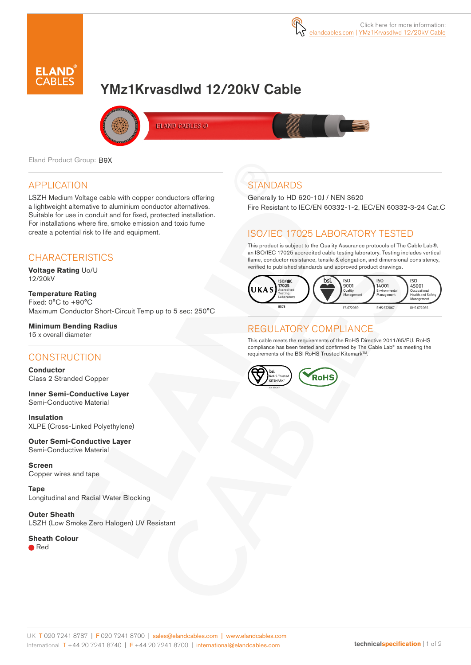

# YMz1Krvasdlwd 12/20kV Cable



ELAND CABLES @

Eland Product Group: B9X

### APPLICATION

LSZH Medium Voltage cable with copper conductors offering a lightweight alternative to aluminium conductor alternatives. Suitable for use in conduit and for fixed, protected installation. For installations where fire, smoke emission and toxic fume create a potential risk to life and equipment.

### **CHARACTERISTICS**

**Voltage Rating** Uo/U 12/20kV

**Temperature Rating** Fixed: 0°C to +90°C Maximum Conductor Short-Circuit Temp up to 5 sec: 250°C

#### **Minimum Bending Radius**

15 x overall diameter

#### **CONSTRUCTION**

**Conductor** Class 2 Stranded Copper

**Inner Semi-Conductive Layer** Semi-Conductive Material

**Insulation** XLPE (Cross-Linked Polyethylene)

**Outer Semi-Conductive Layer** Semi-Conductive Material

**Screen** Copper wires and tape

**Tape** Longitudinal and Radial Water Blocking

**Outer Sheath** LSZH (Low Smoke Zero Halogen) UV Resistant

**Sheath Colour** ● Red

### **STANDARDS**

Generally to HD 620-10J / NEN 3620 Fire Resistant to IEC/EN 60332-1-2, IEC/EN 60332-3-24 Cat.C

### ISO/IEC 17025 LABORATORY TESTED

This product is subject to the Quality Assurance protocols of The Cable Lab®, an ISO/IEC 17025 accredited cable testing laboratory. Testing includes vertical flame, conductor resistance, tensile & elongation, and dimensional consistency, verified to published standards and approved product drawings.



### REGULATORY COMPLIANCE

This cable meets the requirements of the RoHS Directive 2011/65/EU. RoHS compliance has been tested and confirmed by The Cable Lab® as meeting the requirements of the BSI RoHS Trusted Kitemark™